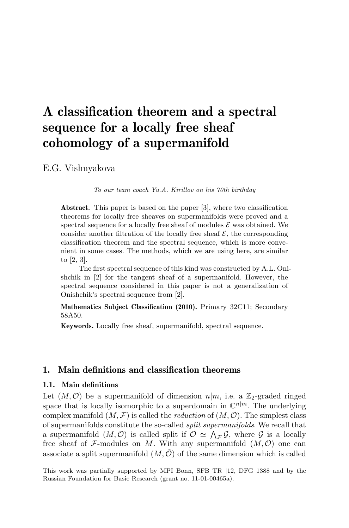# A classification theorem and a spectral sequence for a locally free sheaf cohomology of a supermanifold

E.G. Vishnyakova

To our team coach Yu.A. Kirillov on his 70th birthday

Abstract. This paper is based on the paper [3], where two classification theorems for locally free sheaves on supermanifolds were proved and a spectral sequence for a locally free sheaf of modules  $\mathcal E$  was obtained. We consider another filtration of the locally free sheaf  $\mathcal{E}$ , the corresponding classification theorem and the spectral sequence, which is more convenient in some cases. The methods, which we are using here, are similar to [2, 3].

The first spectral sequence of this kind was constructed by A.L. Onishchik in [2] for the tangent sheaf of a supermanifold. However, the spectral sequence considered in this paper is not a generalization of Onishchik's spectral sequence from [2].

Mathematics Subject Classification (2010). Primary 32C11; Secondary 58A50.

Keywords. Locally free sheaf, supermanifold, spectral sequence.

# 1. Main definitions and classification theorems

# 1.1. Main definitions

Let  $(M, \mathcal{O})$  be a supermanifold of dimension  $n|m$ , i.e. a  $\mathbb{Z}_2$ -graded ringed space that is locally isomorphic to a superdomain in  $\mathbb{C}^{n|m}$ . The underlying complex manifold  $(M, \mathcal{F})$  is called the *reduction* of  $(M, \mathcal{O})$ . The simplest class of supermanifolds constitute the so-called split supermanifolds. We recall that a supermanifold  $(M, \mathcal{O})$  is called split if  $\mathcal{O} \simeq \bigwedge_{\mathcal{F}} \mathcal{G}$ , where  $\mathcal{G}$  is a locally free sheaf of F-modules on M. With any supermanifold  $(M, \mathcal{O})$  one can associate a split supermanifold  $(M, \tilde{\mathcal{O}})$  of the same dimension which is called

This work was partially supported by MPI Bonn, SFB TR |12, DFG 1388 and by the Russian Foundation for Basic Research (grant no. 11-01-00465a).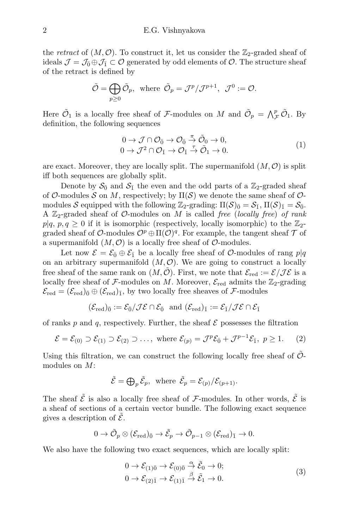the retract of  $(M, \mathcal{O})$ . To construct it, let us consider the  $\mathbb{Z}_2$ -graded sheaf of ideals  $\mathcal{J} = \mathcal{J}_0 \oplus \mathcal{J}_1 \subset \mathcal{O}$  generated by odd elements of  $\mathcal{O}$ . The structure sheaf of the retract is defined by

$$
\tilde{\mathcal{O}} = \bigoplus_{p \ge 0} \tilde{\mathcal{O}}_p, \text{ where } \tilde{\mathcal{O}}_p = \mathcal{J}^p / \mathcal{J}^{p+1}, \mathcal{J}^0 := \mathcal{O}.
$$

Here  $\tilde{O}_1$  is a locally free sheaf of F-modules on M and  $\tilde{O}_p = \bigwedge^p_{\mathcal{F}} \tilde{O}_1$ . By definition, the following sequences

$$
0 \to \mathcal{J} \cap \mathcal{O}_{\bar{0}} \to \mathcal{O}_{\bar{0}} \stackrel{\pi}{\to} \tilde{\mathcal{O}}_0 \to 0, 0 \to \mathcal{J}^2 \cap \mathcal{O}_{\bar{1}} \to \mathcal{O}_{\bar{1}} \stackrel{\pi}{\to} \tilde{\mathcal{O}}_1 \to 0.
$$
 (1)

are exact. Moreover, they are locally split. The supermanifold  $(M, \mathcal{O})$  is split iff both sequences are globally split.

Denote by  $\mathcal{S}_{\bar{0}}$  and  $\mathcal{S}_{\bar{1}}$  the even and the odd parts of a  $\mathbb{Z}_2$ -graded sheaf of O-modules S on M, respectively; by  $\Pi(\mathcal{S})$  we denote the same sheaf of Omodules S equipped with the following  $\mathbb{Z}_2$ -grading:  $\Pi(\mathcal{S})_{\bar{0}} = \mathcal{S}_{\bar{1}}$ ,  $\Pi(\mathcal{S})_{\bar{1}} = \mathcal{S}_{\bar{0}}$ . A  $\mathbb{Z}_2$ -graded sheaf of  $\mathcal{O}\text{-modules on }M$  is called free (locally free) of rank  $p|q, p, q \geq 0$  if it is isomorphic (respectively, locally isomorphic) to the  $\mathbb{Z}_2$ graded sheaf of  $\mathcal{O}\text{-modules } \mathcal{O}^p \oplus \Pi(\mathcal{O})^q$ . For example, the tangent sheaf  $\mathcal T$  of a supermanifold  $(M, \mathcal{O})$  is a locally free sheaf of  $\mathcal{O}$ -modules.

Let now  $\mathcal{E} = \mathcal{E}_{\bar{0}} \oplus \mathcal{E}_{\bar{1}}$  be a locally free sheaf of  $\mathcal{O}\text{-modules}$  of rang  $p|q$ on an arbitrary supermanifold  $(M, \mathcal{O})$ . We are going to construct a locally free sheaf of the same rank on  $(M, \tilde{\mathcal{O}})$ . First, we note that  $\mathcal{E}_{red} := \mathcal{E}/\mathcal{J}\mathcal{E}$  is a locally free sheaf of F-modules on M. Moreover,  $\mathcal{E}_{red}$  admits the  $\mathbb{Z}_2$ -grading  $\mathcal{E}_{\text{red}} = (\mathcal{E}_{\text{red}})_{\bar{0}} \oplus (\mathcal{E}_{\text{red}})_{\bar{1}}$ , by two locally free sheaves of F-modules

$$
(\mathcal{E}_{\text{red}})_{\bar{0}} := \mathcal{E}_{\bar{0}} / \mathcal{J} \mathcal{E} \cap \mathcal{E}_{\bar{0}} \text{ and } (\mathcal{E}_{\text{red}})_{\bar{1}} := \mathcal{E}_{\bar{1}} / \mathcal{J} \mathcal{E} \cap \mathcal{E}_{\bar{1}}
$$

of ranks p and q, respectively. Further, the sheaf  $\mathcal E$  possesses the filtration

$$
\mathcal{E} = \mathcal{E}_{(0)} \supset \mathcal{E}_{(1)} \supset \mathcal{E}_{(2)} \supset \dots, \text{ where } \mathcal{E}_{(p)} = \mathcal{J}^p \mathcal{E}_{\bar{0}} + \mathcal{J}^{p-1} \mathcal{E}_{\bar{1}}, \ p \ge 1. \tag{2}
$$

Using this filtration, we can construct the following locally free sheaf of  $\tilde{\mathcal{O}}$ modules on M:

$$
\tilde{\mathcal{E}} = \bigoplus_{p} \tilde{\mathcal{E}}_p
$$
, where  $\tilde{\mathcal{E}}_p = \mathcal{E}_{(p)} / \mathcal{E}_{(p+1)}$ .

The sheaf  $\tilde{\mathcal{E}}$  is also a locally free sheaf of F-modules. In other words,  $\tilde{\mathcal{E}}$  is a sheaf of sections of a certain vector bundle. The following exact sequence gives a description of  $\mathcal{E}$ .

$$
0 \to \tilde{\mathcal{O}}_p \otimes (\mathcal{E}_{\text{red}})_{\bar{0}} \to \tilde{\mathcal{E}}_p \to \tilde{\mathcal{O}}_{p-1} \otimes (\mathcal{E}_{\text{red}})_{\bar{1}} \to 0.
$$

We also have the following two exact sequences, which are locally split:

$$
0 \to \mathcal{E}_{(1)\bar{0}} \to \mathcal{E}_{(0)\bar{0}} \stackrel{\alpha}{\to} \tilde{\mathcal{E}}_{0} \to 0;
$$
  
\n
$$
0 \to \mathcal{E}_{(2)\bar{1}} \to \mathcal{E}_{(1)\bar{1}} \stackrel{\beta}{\to} \tilde{\mathcal{E}}_{1} \to 0.
$$
\n(3)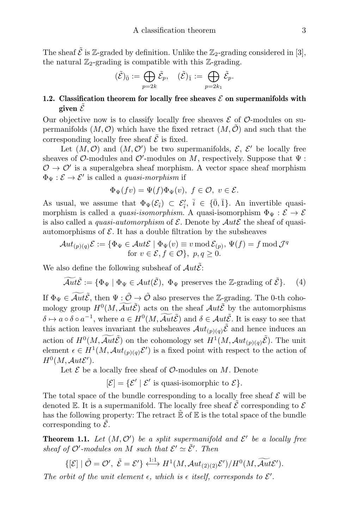The sheaf  $\tilde{\mathcal{E}}$  is Z-graded by definition. Unlike the Z<sub>2</sub>-grading considered in [3], the natural  $\mathbb{Z}_2$ -grading is compatible with this  $\mathbb{Z}_2$ -grading.

$$
(\tilde{\mathcal{E}})_{\bar{0}} := \bigoplus_{p=2k} \tilde{\mathcal{E}}_p, \quad (\tilde{\mathcal{E}})_{\bar{1}} := \bigoplus_{p=2k_1} \tilde{\mathcal{E}}_p.
$$

# 1.2. Classification theorem for locally free sheaves  $\mathcal E$  on supermanifolds with given  $\tilde{\mathcal{E}}$

Our objective now is to classify locally free sheaves  $\mathcal E$  of  $\mathcal O$ -modules on supermanifolds  $(M, \mathcal{O})$  which have the fixed retract  $(M, \mathcal{O})$  and such that the corresponding locally free sheaf  $\tilde{\mathcal{E}}$  is fixed.

Let  $(M, \mathcal{O})$  and  $(M, \mathcal{O}')$  be two supermanifolds,  $\mathcal{E}, \mathcal{E}'$  be locally free sheaves of  $\mathcal{O}\text{-modules}$  and  $\mathcal{O}'\text{-modules}$  on  $M$ , respectively. Suppose that  $\Psi$ :  $\mathcal{O} \to \mathcal{O}'$  is a superalgebra sheaf morphism. A vector space sheaf morphism  $\Phi_{\Psi}: \mathcal{E} \to \mathcal{E}'$  is called a *quasi-morphism* if

$$
\Phi_{\Psi}(fv) = \Psi(f)\Phi_{\Psi}(v), \ f \in \mathcal{O}, \ v \in \mathcal{E}.
$$

As usual, we assume that  $\Phi_{\Psi}(\mathcal{E}_{\bar{i}}) \subset \mathcal{E}'_{\bar{i}}, \bar{i} \in \{\bar{0}, \bar{1}\}.$  An invertible quasimorphism is called a *quasi-isomorphism*. A quasi-isomorphism  $\Phi_{\Psi}: \mathcal{E} \to \mathcal{E}$ is also called a *quasi-automorphism* of  $\mathcal{E}$ . Denote by  $Aut\mathcal{E}$  the sheaf of quasiautomorphisms of  $\mathcal E$ . It has a double filtration by the subsheaves

$$
\mathcal{A}ut_{(p)(q)}\mathcal{E} := \{ \Phi_{\Psi} \in \mathcal{A}ut\mathcal{E} \mid \Phi_{\Psi}(v) \equiv v \operatorname{mod} \mathcal{E}_{(p)}, \Psi(f) = f \operatorname{mod} \mathcal{J}^q \}
$$
  
for  $v \in \mathcal{E}, f \in \mathcal{O} \}, p, q \ge 0.$ 

We also define the following subsheaf of  $Aut\tilde{\mathcal{E}}$ :

$$
\widetilde{\mathcal{A}ut}\widetilde{\mathcal{E}} := \{ \Phi_{\Psi} \mid \Phi_{\Psi} \in \mathcal{A}ut(\widetilde{\mathcal{E}}), \ \Phi_{\Psi} \text{ preserves the } \mathbb{Z}\text{-grading of } \widetilde{\mathcal{E}} \}. \tag{4}
$$

If  $\Phi_{\Psi} \in \widetilde{\mathcal{A}ut}\tilde{\mathcal{E}}$ , then  $\Psi : \tilde{\mathcal{O}} \to \tilde{\mathcal{O}}$  also preserves the Z-grading. The 0-th cohomology group  $H^0(M, \widetilde{\mathcal{A}}ut\widetilde{\mathcal{E}})$  acts on the sheaf  $\mathcal{A}ut\widetilde{\mathcal{E}}$  by the automorphisms  $\delta \mapsto a \circ \delta \circ a^{-1}$ , where  $a \in H^0(M, \widetilde{\mathcal{A}}ut\widetilde{\mathcal{E}})$  and  $\delta \in \mathcal{A}ut\widetilde{\mathcal{E}}$ . It is easy to see that this action leaves invariant the subsheaves  $\mathcal{A}ut_{(p)(q)}\tilde{\mathcal{E}}$  and hence induces an action of  $H^0(M, \widetilde{\mathcal{A}}ut\tilde{\mathcal{E}})$  on the cohomology set  $H^1(M, \mathcal{A}ut_{(p)(q)}\tilde{\mathcal{E}})$ . The unit element  $\epsilon \in H^1(M, \mathcal{A}ut_{(p)(q)}\mathcal{E}')$  is a fixed point with respect to the action of  $H^0(M,\mathcal{A}ut\mathcal{E}').$ 

Let  $\mathcal E$  be a locally free sheaf of  $\mathcal O$ -modules on M. Denote

 $[\mathcal{E}] = {\mathcal{E}' | \mathcal{E}'$  is quasi-isomorphic to  $\mathcal{E}}$ .

The total space of the bundle corresponding to a locally free sheaf  $\mathcal E$  will be denoted E. It is a supermanifold. The locally free sheaf  $\mathcal{\hat{E}}$  corresponding to  $\mathcal{E}$ has the following property: The retract  $\mathbb E$  of  $\mathbb E$  is the total space of the bundle corresponding to  $\mathcal{E}$ .

**Theorem 1.1.** Let  $(M, \mathcal{O}')$  be a split supermanifold and  $\mathcal{E}'$  be a locally free sheaf of  $\mathcal{O}'$ -modules on M such that  $\mathcal{E}' \simeq \tilde{\mathcal{E}}'$ . Then

$$
\{[\mathcal{E}] \mid \tilde{\mathcal{O}} = \mathcal{O}', \ \tilde{\mathcal{E}} = \mathcal{E}'\} \stackrel{\text{1:1}}{\longleftrightarrow} H^1(M, \mathcal{A}ut_{(2)(2)}\mathcal{E}')/H^0(M, \widetilde{\mathcal{A}ut}\mathcal{E}').
$$

The orbit of the unit element  $\epsilon$ , which is  $\epsilon$  itself, corresponds to  $\mathcal{E}'$ .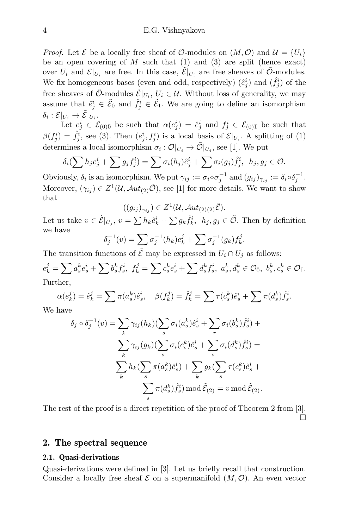*Proof.* Let  $\mathcal E$  be a locally free sheaf of  $\mathcal O$ -modules on  $(M, \mathcal O)$  and  $\mathcal U = \{U_i\}$ be an open covering of  $M$  such that  $(1)$  and  $(3)$  are split (hence exact) over  $U_i$  and  $\mathcal{E}|_{U_i}$  are free. In this case,  $\tilde{\mathcal{E}}|_{U_i}$  are free sheaves of  $\tilde{\mathcal{O}}$ -modules. We fix homogeneous bases (even and odd, respectively)  $(\hat{e}_j^i)$  and  $(\hat{f}_j^i)$  of the free sheaves of  $\tilde{\mathcal{O}}$ -modules  $\tilde{\mathcal{E}}|_{U_i}$ ,  $U_i \in \mathcal{U}$ . Without loss of generality, we may assume that  $\hat{e}_j^i \in \tilde{E}_0$  and  $\hat{f}_j^i \in \tilde{E}_1$ . We are going to define an isomorphism  $\delta_i: \mathcal{E}|_{U_i} \rightarrow \tilde{\mathcal{E}}|_{U_i}.$ 

Let  $e_j^i \in \mathcal{E}_{(0)\bar{0}}$  be such that  $\alpha(e_j^i) = \hat{e}_j^i$  and  $f_j^i \in \mathcal{E}_{(0)\bar{1}}$  be such that  $\beta(f_j^i) = \hat{f}_j^i$ , see (3). Then  $(e_j^i, f_j^i)$  is a local basis of  $\mathcal{E}|_{U_i}$ . A splitting of (1) determines a local isomorphism  $\sigma_i: \mathcal{O}|_{U_i} \to \tilde{\mathcal{O}}|_{U_i}$ , see [1]. We put

$$
\delta_i(\sum h_j e_j^i + \sum g_j f_j^i) = \sum \sigma_i(h_j) \hat{e}_j^i + \sum \sigma_i(g_j) \hat{f}_j^i, \ \ h_j, g_j \in \mathcal{O}.
$$

Obviously,  $\delta_i$  is an isomorphism. We put  $\gamma_{ij} := \sigma_i \circ \sigma_j^{-1}$  and  $(g_{ij})_{\gamma_{ij}} := \delta_i \circ \delta_j^{-1}$ . Moreover,  $(\gamma_{ij}) \in Z^1(\mathcal{U}, \mathcal{A}ut_{(2)}\tilde{\mathcal{O}}),$  see [1] for more details. We want to show that

$$
((g_{ij})_{\gamma_{ij}}) \in Z^1(\mathcal{U}, \mathcal{A}ut_{(2)(2)}\tilde{\mathcal{E}}).
$$

Let us take  $v \in \tilde{E}|_{U_j}$ ,  $v = \sum h_k \hat{e}_k^i + \sum g_k \hat{f}_k^i$ ,  $h_j, g_j \in \tilde{\mathcal{O}}$ . Then by definition we have δ

$$
j_j^{-1}(v) = \sum_{j} \sigma_j^{-1}(h_k) e_k^j + \sum_{j} \sigma_j^{-1}(g_k) f_k^j.
$$

The transition functions of  $\mathcal E$  may be expressed in  $U_i \cap U_j$  as follows:

$$
e_k^j = \sum a_s^k e_s^i + \sum b_s^k f_s^i, \ f_k^j = \sum c_s^k e_s^i + \sum d_s^k f_s^i, \ a_s^k, d_s^k \in \mathcal{O}_{\bar{0}}, \ b_s^k, c_s^k \in \mathcal{O}_{\bar{1}}.
$$
 Further,

$$
\alpha(e_k^j) = \hat{e}_k^j = \sum \pi(a_s^k)\hat{e}_s^i, \quad \beta(f_k^j) = \hat{f}_k^j = \sum \tau(c_s^k)\hat{e}_s^i + \sum \pi(d_s^k)\hat{f}_s^i.
$$

We have

$$
\delta_j \circ \delta_j^{-1}(v) = \sum_k \gamma_{ij}(h_k) (\sum_s \sigma_i(a_s^k) \hat{e}_s^i + \sum_r \sigma_i(b_s^k) \hat{f}_s^i) +
$$
  

$$
\sum_k \gamma_{ij}(g_k) (\sum_s \sigma_i(c_s^k) \hat{e}_s^i + \sum_s \sigma_i(d_s^k) \hat{f}_s^i) =
$$
  

$$
\sum_k h_k (\sum_s \pi(a_s^k) \hat{e}_s^i) + \sum_k g_k (\sum_s \tau(c_s^k) \hat{e}_s^i + \sum_s \pi(d_s^k) \hat{f}_s^i) \bmod{\tilde{\mathcal{E}}_{(2)}} = v \bmod{\tilde{\mathcal{E}}_{(2)}}.
$$

The rest of the proof is a direct repetition of the proof of Theorem 2 from [3].  $\Box$ 

### 2. The spectral sequence

#### 2.1. Quasi-derivations

Quasi-derivations were defined in [3]. Let us briefly recall that construction. Consider a locally free sheaf  $\mathcal E$  on a supermanifold  $(M, \mathcal O)$ . An even vector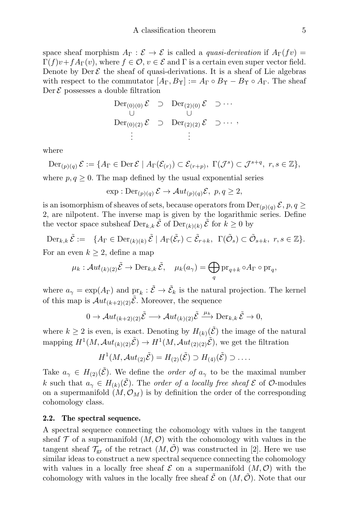space sheaf morphism  $A_{\Gamma}: \mathcal{E} \to \mathcal{E}$  is called a *quasi-derivation* if  $A_{\Gamma}(fv)$  $\Gamma(f)v+fA_{\Gamma}(v)$ , where  $f\in\mathcal{O}, v\in\mathcal{E}$  and  $\Gamma$  is a certain even super vector field. Denote by Der  $\mathcal E$  the sheaf of quasi-derivations. It is a sheaf of Lie algebras with respect to the commutator  $[A_{\Gamma}, B_{\Upsilon}] := A_{\Gamma} \circ B_{\Upsilon} - B_{\Upsilon} \circ A_{\Gamma}$ . The sheaf  $\text{Der } \mathcal{E}$  possesses a double filtration

$$
\begin{array}{ccc}\n\text{Der}_{(0)(0)} \mathcal{E} & \supset \quad \text{Der}_{(2)(0)} \mathcal{E} & \supset \cdots \\
\cup \quad & \cup \quad & \cup \quad \\
\text{Der}_{(0)(2)} \mathcal{E} & \supset \quad \text{Der}_{(2)(2)} \mathcal{E} & \supset \cdots \\
\vdots & \vdots & \end{array}
$$

where

$$
\mathrm{Der}_{(p)(q)}\,\mathcal{E}:=\{A_{\Gamma}\in\mathrm{Der}\,\mathcal{E}\mid A_{\Gamma}(\mathcal{E}_{(r)})\subset\mathcal{E}_{(r+p)},\;\Gamma(\mathcal{J}^s)\subset\mathcal{J}^{s+q},\;r,s\in\mathbb{Z}\},\;
$$

where  $p, q \geq 0$ . The map defined by the usual exponential series

$$
\exp : \mathrm{Der}_{(p)(q)} \mathcal{E} \to \mathcal{A}ut_{(p)(q)} \mathcal{E}, \ p, q \ge 2,
$$

is an isomorphism of sheaves of sets, because operators from  $\text{Der}_{(p)(q)} \mathcal{E}, p, q \geq$ 2, are nilpotent. The inverse map is given by the logarithmic series. Define the vector space subsheaf  $\text{Der}_{k,k} \tilde{\mathcal{E}}$  of  $\text{Der}_{(k)(k)} \tilde{\mathcal{E}}$  for  $k \geq 0$  by

$$
\text{Der}_{k,k}\,\tilde{\mathcal{E}} := \{A_{\Gamma} \in \text{Der}_{(k)(k)}\,\tilde{\mathcal{E}} \mid A_{\Gamma}(\tilde{\mathcal{E}}_r) \subset \tilde{\mathcal{E}}_{r+k}, \ \Gamma(\tilde{\mathcal{O}}_s) \subset \tilde{\mathcal{O}}_{s+k}, \ r,s \in \mathbb{Z}\}.
$$

For an even  $k \geq 2$ , define a map

$$
\mu_k: \mathcal{A}ut_{(k)(2)}\tilde{\mathcal{E}} \to \mathrm{Der}_{k,k}\tilde{\mathcal{E}}, \quad \mu_k(a_\gamma) = \bigoplus_q \mathrm{pr}_{q+k} \circ A_\Gamma \circ \mathrm{pr}_q,
$$

where  $a_{\gamma} = \exp(A_{\Gamma})$  and  $\text{pr}_k : \tilde{\mathcal{E}} \to \tilde{\mathcal{E}}_k$  is the natural projection. The kernel of this map is  $Aut_{(k+2)(2)}\tilde{\mathcal{E}}$ . Moreover, the sequence

$$
0 \to \mathcal{A}ut_{(k+2)(2)}\tilde{\mathcal{E}} \longrightarrow \mathcal{A}ut_{(k)(2)}\tilde{\mathcal{E}} \xrightarrow{\mu_k} \text{Der}_{k,k}\tilde{\mathcal{E}} \to 0,
$$

where  $k \geq 2$  is even, is exact. Denoting by  $H_{(k)}(\tilde{\mathcal{E}})$  the image of the natural mapping  $H^1(M, \mathcal{A}ut_{(k)(2)}\tilde{\mathcal{E}}) \to H^1(M, \mathcal{A}ut_{(2)(2)}\tilde{\mathcal{E}})$ , we get the filtration

$$
H^1(M, \mathcal{A}ut_{(2)}\tilde{\mathcal{E}}) = H_{(2)}(\tilde{\mathcal{E}}) \supset H_{(4)}(\tilde{\mathcal{E}}) \supset \dots.
$$

Take  $a_{\gamma} \in H_{(2)}(\tilde{\mathcal{E}})$ . We define the *order of*  $a_{\gamma}$  to be the maximal number k such that  $a_{\gamma} \in H_{(k)}(\mathcal{E})$ . The order of a locally free sheaf  $\mathcal{E}$  of  $\mathcal{O}$ -modules on a supermanifold  $(M, \mathcal{O}_M)$  is by definition the order of the corresponding cohomology class.

#### 2.2. The spectral sequence.

A spectral sequence connecting the cohomology with values in the tangent sheaf  $\mathcal T$  of a supermanifold  $(M, \mathcal O)$  with the cohomology with values in the tangent sheaf  $\mathcal{T}_{gr}$  of the retract  $(M, \mathcal{O})$  was constructed in [2]. Here we use similar ideas to construct a new spectral sequence connecting the cohomology with values in a locally free sheaf  $\mathcal E$  on a supermanifold  $(M, \mathcal O)$  with the cohomology with values in the locally free sheaf  $\mathcal{E}$  on  $(M, \mathcal{O})$ . Note that our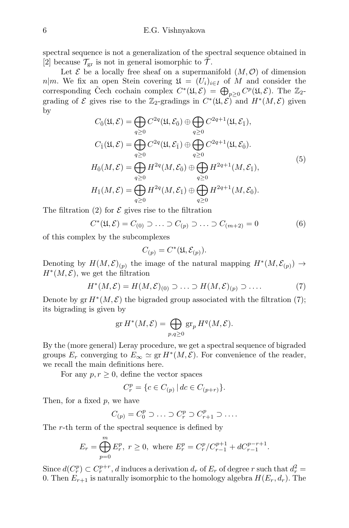spectral sequence is not a generalization of the spectral sequence obtained in [2] because  $\mathcal{T}_{gr}$  is not in general isomorphic to  $\mathcal{T}$ .

Let  $\mathcal E$  be a locally free sheaf on a supermanifold  $(M, \mathcal O)$  of dimension  $n|m$ . We fix an open Stein covering  $\mathfrak{U} = (U_i)_{i \in I}$  of M and consider the corresponding Čech cochain complex  $C^*(\mathfrak{U}, \mathcal{E}) = \bigoplus_{p \geq 0} C^p(\mathfrak{U}, \mathcal{E})$ . The  $\mathbb{Z}_2$ grading of  $\mathcal E$  gives rise to the Z<sub>2</sub>-gradings in  $C^*(\mathfrak U, \mathcal E)$ <sup>-</sup>and  $H^*(M, \mathcal E)$  given by

$$
C_{\overline{0}}(\mathfrak{U}, \mathcal{E}) = \bigoplus_{q \geq 0} C^{2q}(\mathfrak{U}, \mathcal{E}_{\overline{0}}) \oplus \bigoplus_{q \geq 0} C^{2q+1}(\mathfrak{U}, \mathcal{E}_{\overline{1}}),
$$
  
\n
$$
C_{\overline{1}}(\mathfrak{U}, \mathcal{E}) = \bigoplus_{q \geq 0} C^{2q}(\mathfrak{U}, \mathcal{E}_{\overline{1}}) \oplus \bigoplus_{q \geq 0} C^{2q+1}(\mathfrak{U}, \mathcal{E}_{\overline{0}}).
$$
  
\n
$$
H_{\overline{0}}(M, \mathcal{E}) = \bigoplus_{q \geq 0} H^{2q}(M, \mathcal{E}_{\overline{0}}) \oplus \bigoplus_{q \geq 0} H^{2q+1}(M, \mathcal{E}_{\overline{1}}),
$$
  
\n
$$
H_{\overline{1}}(M, \mathcal{E}) = \bigoplus_{q \geq 0} H^{2q}(M, \mathcal{E}_{\overline{1}}) \oplus \bigoplus_{q \geq 0} H^{2q+1}(M, \mathcal{E}_{\overline{0}}).
$$
  
\n(5)

The filtration (2) for  $\mathcal E$  gives rise to the filtration

$$
C^*(\mathfrak{U}, \mathcal{E}) = C_{(0)} \supset \ldots \supset C_{(p)} \supset \ldots \supset C_{(m+2)} = 0
$$
 (6)

of this complex by the subcomplexes

$$
C_{(p)} = C^*(\mathfrak{U}, \mathcal{E}_{(p)}).
$$

Denoting by  $H(M,\mathcal{E})_{(p)}$  the image of the natural mapping  $H^*(M,\mathcal{E}_{(p)}) \to$  $H^*(M, \mathcal{E})$ , we get the filtration

$$
H^*(M,\mathcal{E}) = H(M,\mathcal{E})_{(0)} \supset \ldots \supset H(M,\mathcal{E})_{(p)} \supset \ldots. \tag{7}
$$

Denote by  $gr H^*(M, \mathcal{E})$  the bigraded group associated with the filtration (7); its bigrading is given by

$$
\operatorname{gr} H^*(M,\mathcal{E}) = \bigoplus_{p,q \ge 0} \operatorname{gr}_p H^q(M,\mathcal{E}).
$$

By the (more general) Leray procedure, we get a spectral sequence of bigraded groups  $E_r$  converging to  $E_\infty \simeq \text{gr } H^*(M, \mathcal{E})$ . For convenience of the reader, we recall the main definitions here.

For any  $p, r \geq 0$ , define the vector spaces

$$
C_r^p = \{ c \in C_{(p)} \, | \, dc \in C_{(p+r)} \}.
$$

Then, for a fixed p, we have

 $\overline{m}$ 

$$
C_{(p)} = C_0^p \supset \ldots \supset C_r^p \supset C_{r+1}^p \supset \ldots
$$

The r-th term of the spectral sequence is defined by

$$
E_r = \bigoplus_{p=0}^{\infty} E_r^p, \ r \ge 0, \text{ where } E_r^p = C_r^p / C_{r-1}^{p+1} + dC_{r-1}^{p-r+1}.
$$

Since  $d(C_r^p) \subset C_r^{p+r}$ , d induces a derivation  $d_r$  of  $E_r$  of degree r such that  $d_r^2 =$ 0. Then  $E_{r+1}$  is naturally isomorphic to the homology algebra  $H(E_r, d_r)$ . The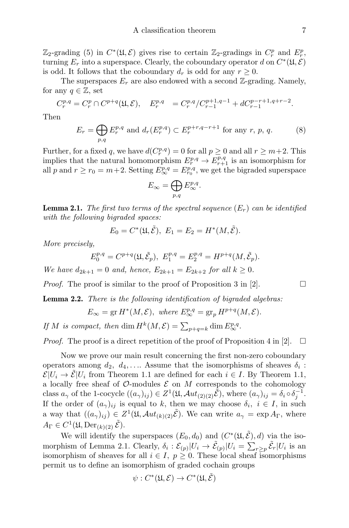$\mathbb{Z}_2$ -grading (5) in  $C^*(\mathfrak{U}, \mathcal{E})$  gives rise to certain  $\mathbb{Z}_2$ -gradings in  $C_r^p$  and  $E_r^p$ , turning  $E_r$  into a superspace. Clearly, the coboundary operator d on  $C^*(\mathfrak{U}, \mathcal{E})$ is odd. It follows that the coboundary  $d_r$  is odd for any  $r \geq 0$ .

The superspaces  $E_r$  are also endowed with a second  $\mathbb{Z}$ -grading. Namely, for any  $q \in \mathbb{Z}$ , set

$$
C_r^{p,q} = C_r^p \cap C^{p+q}(\mathfrak{U}, \mathcal{E}), \quad E_r^{p,q} = C_r^{p,q}/C_{r-1}^{p+1,q-1} + dC_{r-1}^{p-r+1,q+r-2}.
$$

Then

$$
E_r = \bigoplus_{p,q} E_r^{p,q} \text{ and } d_r(E_r^{p,q}) \subset E_r^{p+r,q-r+1} \text{ for any } r, p, q.
$$
 (8)

Further, for a fixed q, we have  $d(C_r^{p,q}) = 0$  for all  $p \geq 0$  and all  $r \geq m+2$ . This implies that the natural homomorphism  $E_r^{p,q} \to E_{r+1}^{p,q}$  is an isomorphism for all p and  $r \ge r_0 = m+2$ . Setting  $E^{p,q}_{\infty} = E^{p,q}_{r_0}$ , we get the bigraded superspace

$$
E_{\infty} = \bigoplus_{p,q} E_{\infty}^{p,q}.
$$

**Lemma 2.1.** The first two terms of the spectral sequence  $(E_r)$  can be identified with the following bigraded spaces:

$$
E_0 = C^*(\mathfrak{U}, \tilde{\mathcal{E}}), E_1 = E_2 = H^*(M, \tilde{\mathcal{E}}).
$$

More precisely,

$$
E_0^{p,q} = C^{p+q}(\mathfrak{U}, \tilde{\mathcal{E}}_p), \ E_1^{p,q} = E_2^{p,q} = H^{p+q}(M, \tilde{\mathcal{E}}_p).
$$

We have  $d_{2k+1} = 0$  and, hence,  $E_{2k+1} = E_{2k+2}$  for all  $k \ge 0$ .

*Proof.* The proof is similar to the proof of Proposition 3 in [2].  $\Box$ 

**Lemma 2.2.** There is the following identification of bigraded algebras:

$$
E_{\infty} = \operatorname{gr} H^*(M, \mathcal{E}), \text{ where } E_{\infty}^{p,q} = \operatorname{gr}_p H^{p+q}(M, \mathcal{E}).
$$

If M is compact, then dim  $H^k(M,\mathcal{E}) = \sum_{p+q=k} \dim E_{\infty}^{p,q}$ .

*Proof.* The proof is a direct repetition of the proof of Proposition 4 in [2].  $\Box$ 

Now we prove our main result concerning the first non-zero coboundary operators among  $d_2, d_4, \ldots$  Assume that the isomorphisms of sheaves  $\delta_i$ :  $\mathcal{E}|U_i \to \mathcal{E}|U_i$  from Theorem 1.1 are defined for each  $i \in I$ . By Theorem 1.1, a locally free sheaf of  $\mathcal{O}\text{-modules } \mathcal{E}$  on M corresponds to the cohomology class  $a_{\gamma}$  of the 1-cocycle  $((a_{\gamma})_{ij}) \in Z^{1}(\mathfrak{U}, \mathcal{A}ut_{(2)(2)}\tilde{\mathcal{E}}),$  where  $(a_{\gamma})_{ij} = \delta_{i} \circ \delta_{j}^{-1}$ . If the order of  $(a_{\gamma})_{ij}$  is equal to k, then we may choose  $\delta_i, i \in I$ , in such a way that  $((a_{\gamma})_{ij}) \in Z^{1}(\mathfrak{U}, \mathcal{A}ut_{(k)(2)}\tilde{\mathcal{E}})$ . We can write  $a_{\gamma} = \exp A_{\Gamma}$ , where  $A_{\Gamma} \in C^1(\mathfrak{U}, \mathrm{Der}_{(k)(2)} \tilde{\mathcal{E}}).$ 

We will identify the superspaces  $(E_0, d_0)$  and  $(C^*(\mathfrak{U}, \tilde{\mathcal{E}}), d)$  via the isomorphism of Lemma 2.1. Clearly,  $\delta_i : \mathcal{E}_{(p)} | U_i \to \tilde{\mathcal{E}}_{(p)} | U_i = \sum_{r \geq p} \tilde{\mathcal{E}}_r | U_i$  is an isomorphism of sheaves for all  $i \in I$ ,  $p \geq 0$ . These local sheaf isomorphisms permit us to define an isomorphism of graded cochain groups

$$
\psi: C^*(\mathfrak{U}, \mathcal{E}) \to C^*(\mathfrak{U}, \tilde{\mathcal{E}})
$$